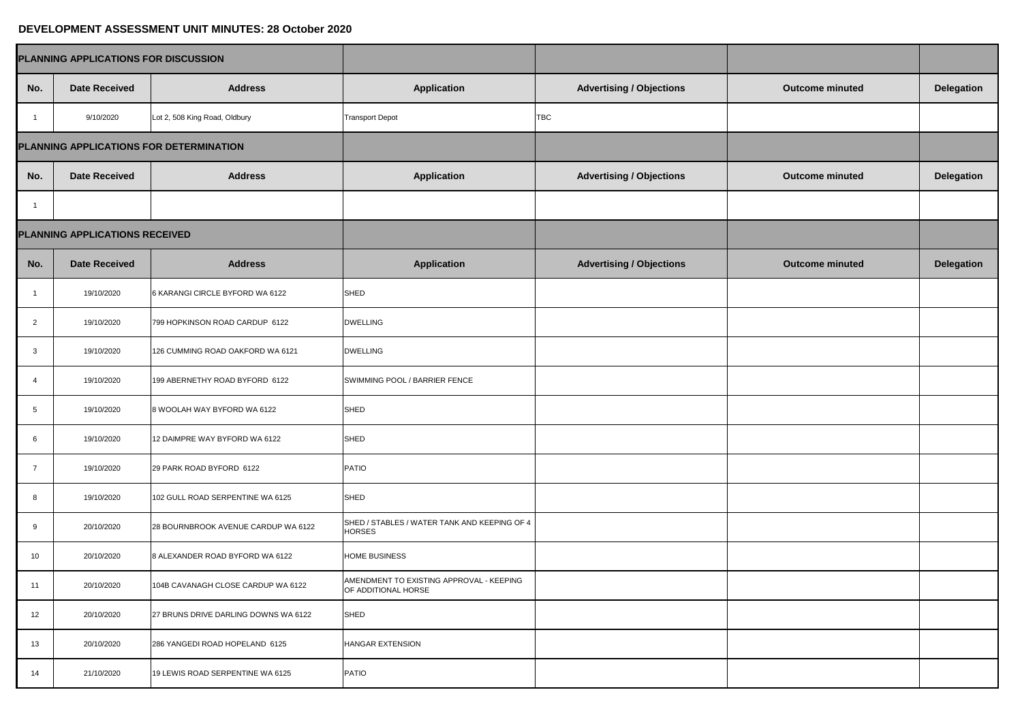## **DEVELOPMENT ASSESSMENT UNIT MINUTES: 28 October 2020**

| PLANNING APPLICATIONS FOR DISCUSSION    |                                |                                      |                                                                 |                                 |                        |                   |
|-----------------------------------------|--------------------------------|--------------------------------------|-----------------------------------------------------------------|---------------------------------|------------------------|-------------------|
| No.                                     | <b>Date Received</b>           | <b>Address</b>                       | <b>Application</b>                                              | <b>Advertising / Objections</b> | <b>Outcome minuted</b> | <b>Delegation</b> |
|                                         | 9/10/2020                      | Lot 2, 508 King Road, Oldbury        | <b>Transport Depot</b>                                          | <b>TBC</b>                      |                        |                   |
| PLANNING APPLICATIONS FOR DETERMINATION |                                |                                      |                                                                 |                                 |                        |                   |
| No.                                     | <b>Date Received</b>           | <b>Address</b>                       | <b>Application</b>                                              | <b>Advertising / Objections</b> | <b>Outcome minuted</b> | <b>Delegation</b> |
|                                         |                                |                                      |                                                                 |                                 |                        |                   |
|                                         | PLANNING APPLICATIONS RECEIVED |                                      |                                                                 |                                 |                        |                   |
| No.                                     | <b>Date Received</b>           | <b>Address</b>                       | <b>Application</b>                                              | <b>Advertising / Objections</b> | <b>Outcome minuted</b> | <b>Delegation</b> |
|                                         | 19/10/2020                     | 6 KARANGI CIRCLE BYFORD WA 6122      | <b>SHED</b>                                                     |                                 |                        |                   |
| 2                                       | 19/10/2020                     | 799 HOPKINSON ROAD CARDUP 6122       | <b>DWELLING</b>                                                 |                                 |                        |                   |
| 3                                       | 19/10/2020                     | 126 CUMMING ROAD OAKFORD WA 6121     | <b>DWELLING</b>                                                 |                                 |                        |                   |
| -4                                      | 19/10/2020                     | 199 ABERNETHY ROAD BYFORD 6122       | SWIMMING POOL / BARRIER FENCE                                   |                                 |                        |                   |
| 5                                       | 19/10/2020                     | 8 WOOLAH WAY BYFORD WA 6122          | SHED                                                            |                                 |                        |                   |
| 6                                       | 19/10/2020                     | 12 DAIMPRE WAY BYFORD WA 6122        | SHED                                                            |                                 |                        |                   |
| -7                                      | 19/10/2020                     | 29 PARK ROAD BYFORD 6122             | <b>PATIO</b>                                                    |                                 |                        |                   |
| 8                                       | 19/10/2020                     | 102 GULL ROAD SERPENTINE WA 6125     | SHED                                                            |                                 |                        |                   |
| 9                                       | 20/10/2020                     | 28 BOURNBROOK AVENUE CARDUP WA 6122  | SHED / STABLES / WATER TANK AND KEEPING OF 4<br><b>HORSES</b>   |                                 |                        |                   |
| 10                                      | 20/10/2020                     | 8 ALEXANDER ROAD BYFORD WA 6122      | <b>HOME BUSINESS</b>                                            |                                 |                        |                   |
| 11                                      | 20/10/2020                     | 104B CAVANAGH CLOSE CARDUP WA 6122   | AMENDMENT TO EXISTING APPROVAL - KEEPING<br>OF ADDITIONAL HORSE |                                 |                        |                   |
| 12                                      | 20/10/2020                     | 27 BRUNS DRIVE DARLING DOWNS WA 6122 | SHED                                                            |                                 |                        |                   |
| 13                                      | 20/10/2020                     | 286 YANGEDI ROAD HOPELAND 6125       | <b>HANGAR EXTENSION</b>                                         |                                 |                        |                   |
| 14                                      | 21/10/2020                     | 19 LEWIS ROAD SERPENTINE WA 6125     | <b>PATIO</b>                                                    |                                 |                        |                   |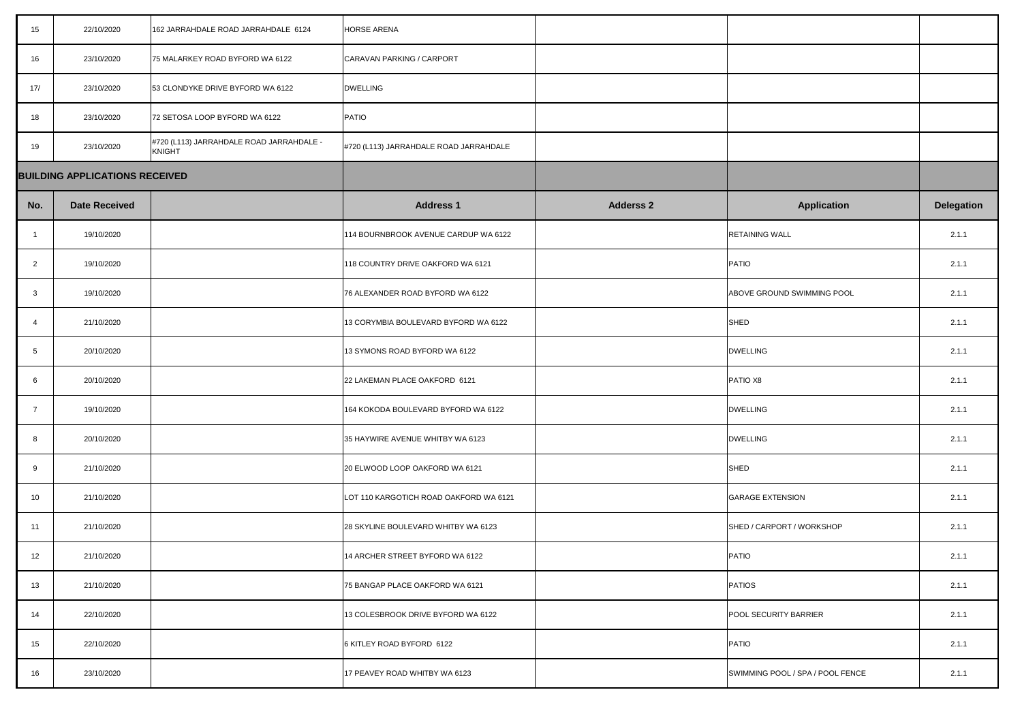| 15             | 22/10/2020                            | 162 JARRAHDALE ROAD JARRAHDALE 6124                | <b>HORSE ARENA</b>                     |                  |                                  |                   |
|----------------|---------------------------------------|----------------------------------------------------|----------------------------------------|------------------|----------------------------------|-------------------|
| 16             | 23/10/2020                            | 75 MALARKEY ROAD BYFORD WA 6122                    | CARAVAN PARKING / CARPORT              |                  |                                  |                   |
| 17/            | 23/10/2020                            | 53 CLONDYKE DRIVE BYFORD WA 6122                   | <b>DWELLING</b>                        |                  |                                  |                   |
| 18             | 23/10/2020                            | 72 SETOSA LOOP BYFORD WA 6122                      | <b>PATIO</b>                           |                  |                                  |                   |
| 19             | 23/10/2020                            | #720 (L113) JARRAHDALE ROAD JARRAHDALE -<br>KNIGHT | #720 (L113) JARRAHDALE ROAD JARRAHDALE |                  |                                  |                   |
|                | <b>BUILDING APPLICATIONS RECEIVED</b> |                                                    |                                        |                  |                                  |                   |
| No.            | <b>Date Received</b>                  |                                                    | <b>Address 1</b>                       | <b>Adderss 2</b> | <b>Application</b>               | <b>Delegation</b> |
|                | 19/10/2020                            |                                                    | 114 BOURNBROOK AVENUE CARDUP WA 6122   |                  | <b>RETAINING WALL</b>            | 2.1.1             |
| $\overline{2}$ | 19/10/2020                            |                                                    | 118 COUNTRY DRIVE OAKFORD WA 6121      |                  | PATIO                            | 2.1.1             |
| $\mathbf{3}$   | 19/10/2020                            |                                                    | 76 ALEXANDER ROAD BYFORD WA 6122       |                  | ABOVE GROUND SWIMMING POOL       | 2.1.1             |
| -4             | 21/10/2020                            |                                                    | 13 CORYMBIA BOULEVARD BYFORD WA 6122   |                  | SHED                             | 2.1.1             |
| 5              | 20/10/2020                            |                                                    | 13 SYMONS ROAD BYFORD WA 6122          |                  | <b>DWELLING</b>                  | 2.1.1             |
| 6              | 20/10/2020                            |                                                    | 22 LAKEMAN PLACE OAKFORD 6121          |                  | PATIO X8                         | 2.1.1             |
| $\overline{7}$ | 19/10/2020                            |                                                    | 164 KOKODA BOULEVARD BYFORD WA 6122    |                  | <b>DWELLING</b>                  | 2.1.1             |
| 8              | 20/10/2020                            |                                                    | 35 HAYWIRE AVENUE WHITBY WA 6123       |                  | <b>DWELLING</b>                  | 2.1.1             |
| 9              | 21/10/2020                            |                                                    | 20 ELWOOD LOOP OAKFORD WA 6121         |                  | SHED                             | 2.1.1             |
| 10             | 21/10/2020                            |                                                    | LOT 110 KARGOTICH ROAD OAKFORD WA 6121 |                  | <b>GARAGE EXTENSION</b>          | 2.1.1             |
| 11             | 21/10/2020                            |                                                    | 28 SKYLINE BOULEVARD WHITBY WA 6123    |                  | SHED / CARPORT / WORKSHOP        | 2.1.1             |
| 12             | 21/10/2020                            |                                                    | 14 ARCHER STREET BYFORD WA 6122        |                  | PATIO                            | 2.1.1             |
| 13             | 21/10/2020                            |                                                    | 75 BANGAP PLACE OAKFORD WA 6121        |                  | <b>PATIOS</b>                    | 2.1.1             |
| 14             | 22/10/2020                            |                                                    | 13 COLESBROOK DRIVE BYFORD WA 6122     |                  | <b>POOL SECURITY BARRIER</b>     | 2.1.1             |
| 15             | 22/10/2020                            |                                                    | 6 KITLEY ROAD BYFORD 6122              |                  | PATIO                            | 2.1.1             |
| 16             | 23/10/2020                            |                                                    | 17 PEAVEY ROAD WHITBY WA 6123          |                  | SWIMMING POOL / SPA / POOL FENCE | 2.1.1             |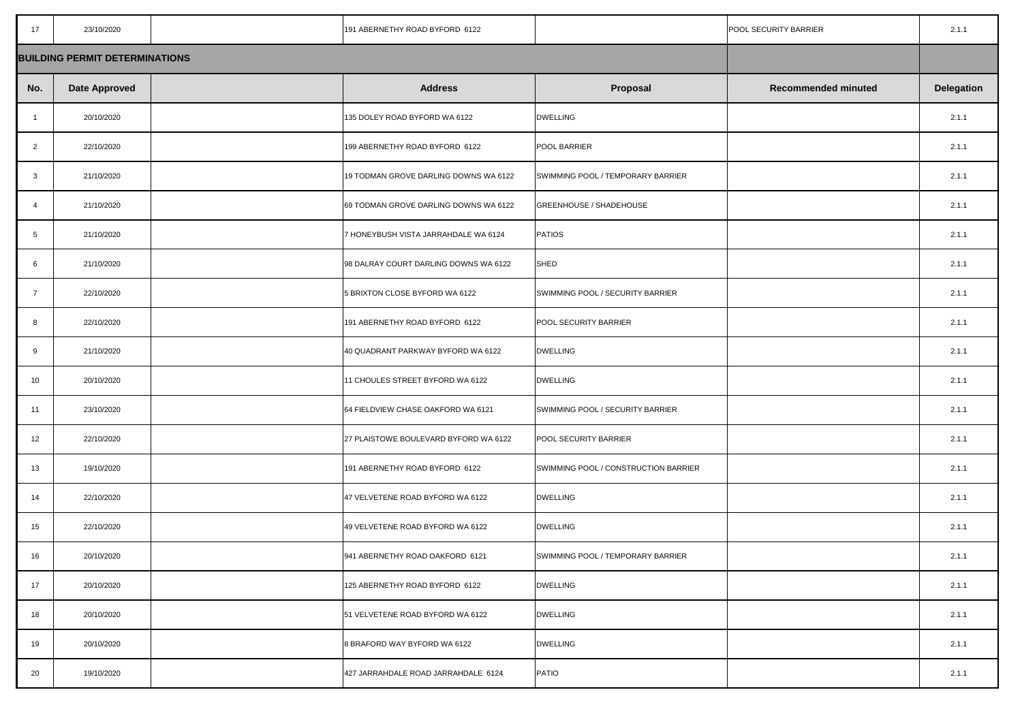| 17                                    | 23/10/2020           |  | 191 ABERNETHY ROAD BYFORD 6122        |                                      | POOL SECURITY BARRIER      | 2.1.1             |
|---------------------------------------|----------------------|--|---------------------------------------|--------------------------------------|----------------------------|-------------------|
| <b>BUILDING PERMIT DETERMINATIONS</b> |                      |  |                                       |                                      |                            |                   |
| No.                                   | <b>Date Approved</b> |  | <b>Address</b>                        | <b>Proposal</b>                      | <b>Recommended minuted</b> | <b>Delegation</b> |
|                                       | 20/10/2020           |  | 135 DOLEY ROAD BYFORD WA 6122         | <b>DWELLING</b>                      |                            | 2.1.1             |
| $\overline{2}$                        | 22/10/2020           |  | 199 ABERNETHY ROAD BYFORD 6122        | <b>POOL BARRIER</b>                  |                            | 2.1.1             |
| $\mathbf{3}$                          | 21/10/2020           |  | 19 TODMAN GROVE DARLING DOWNS WA 6122 | SWIMMING POOL / TEMPORARY BARRIER    |                            | 2.1.1             |
| 4                                     | 21/10/2020           |  | 69 TODMAN GROVE DARLING DOWNS WA 6122 | <b>GREENHOUSE / SHADEHOUSE</b>       |                            | 2.1.1             |
| 5                                     | 21/10/2020           |  | 7 HONEYBUSH VISTA JARRAHDALE WA 6124  | <b>PATIOS</b>                        |                            | 2.1.1             |
| 6                                     | 21/10/2020           |  | 98 DALRAY COURT DARLING DOWNS WA 6122 | SHED                                 |                            | 2.1.1             |
| $\overline{7}$                        | 22/10/2020           |  | 5 BRIXTON CLOSE BYFORD WA 6122        | SWIMMING POOL / SECURITY BARRIER     |                            | 2.1.1             |
| 8                                     | 22/10/2020           |  | 191 ABERNETHY ROAD BYFORD 6122        | <b>POOL SECURITY BARRIER</b>         |                            | 2.1.1             |
| 9                                     | 21/10/2020           |  | 40 QUADRANT PARKWAY BYFORD WA 6122    | <b>DWELLING</b>                      |                            | 2.1.1             |
| 10                                    | 20/10/2020           |  | 11 CHOULES STREET BYFORD WA 6122      | <b>DWELLING</b>                      |                            | 2.1.1             |
| 11                                    | 23/10/2020           |  | 64 FIELDVIEW CHASE OAKFORD WA 6121    | SWIMMING POOL / SECURITY BARRIER     |                            | 2.1.1             |
| 12                                    | 22/10/2020           |  | 27 PLAISTOWE BOULEVARD BYFORD WA 6122 | <b>POOL SECURITY BARRIER</b>         |                            | 2.1.1             |
| 13                                    | 19/10/2020           |  | 191 ABERNETHY ROAD BYFORD 6122        | SWIMMING POOL / CONSTRUCTION BARRIER |                            | 2.1.1             |
| 14                                    | 22/10/2020           |  | 47 VELVETENE ROAD BYFORD WA 6122      | <b>DWELLING</b>                      |                            | 2.1.1             |
| 15                                    | 22/10/2020           |  | 49 VELVETENE ROAD BYFORD WA 6122      | <b>DWELLING</b>                      |                            | 2.1.1             |
| 16                                    | 20/10/2020           |  | 941 ABERNETHY ROAD OAKFORD 6121       | SWIMMING POOL / TEMPORARY BARRIER    |                            | 2.1.1             |
| 17                                    | 20/10/2020           |  | 125 ABERNETHY ROAD BYFORD 6122        | <b>DWELLING</b>                      |                            | 2.1.1             |
| 18                                    | 20/10/2020           |  | 51 VELVETENE ROAD BYFORD WA 6122      | <b>DWELLING</b>                      |                            | 2.1.1             |
| 19                                    | 20/10/2020           |  | 8 BRAFORD WAY BYFORD WA 6122          | <b>DWELLING</b>                      |                            | 2.1.1             |
| 20                                    | 19/10/2020           |  | 427 JARRAHDALE ROAD JARRAHDALE 6124   | PATIO                                |                            | 2.1.1             |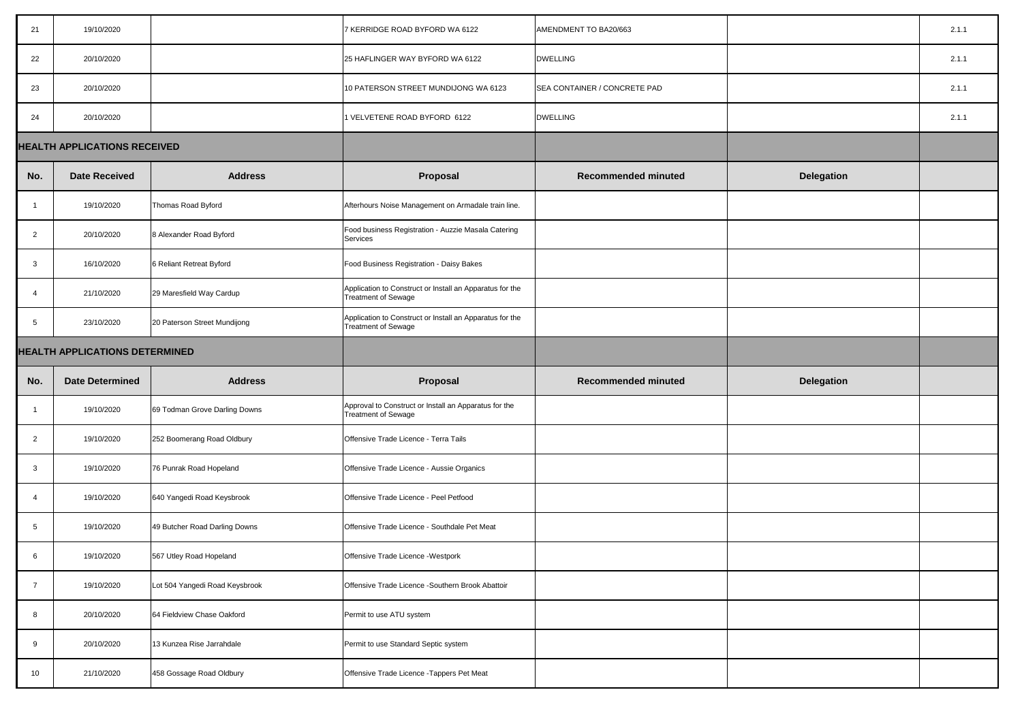| 21                                    | 19/10/2020             |                                | 7 KERRIDGE ROAD BYFORD WA 6122                                                         | AMENDMENT TO BA20/663        |                   | 2.1.1 |
|---------------------------------------|------------------------|--------------------------------|----------------------------------------------------------------------------------------|------------------------------|-------------------|-------|
| 22                                    | 20/10/2020             |                                | 25 HAFLINGER WAY BYFORD WA 6122                                                        | <b>DWELLING</b>              |                   | 2.1.1 |
| 23                                    | 20/10/2020             |                                | 10 PATERSON STREET MUNDIJONG WA 6123                                                   | SEA CONTAINER / CONCRETE PAD |                   | 2.1.1 |
| 24                                    | 20/10/2020             |                                | 1 VELVETENE ROAD BYFORD 6122                                                           | <b>DWELLING</b>              |                   | 2.1.1 |
| <b>HEALTH APPLICATIONS RECEIVED</b>   |                        |                                |                                                                                        |                              |                   |       |
| No.                                   | <b>Date Received</b>   | <b>Address</b>                 | <b>Proposal</b>                                                                        | <b>Recommended minuted</b>   | <b>Delegation</b> |       |
|                                       | 19/10/2020             | Thomas Road Byford             | Afterhours Noise Management on Armadale train line.                                    |                              |                   |       |
| 2                                     | 20/10/2020             | 8 Alexander Road Byford        | Food business Registration - Auzzie Masala Catering<br><b>Services</b>                 |                              |                   |       |
| $\mathbf{3}$                          | 16/10/2020             | 6 Reliant Retreat Byford       | Food Business Registration - Daisy Bakes                                               |                              |                   |       |
| -4                                    | 21/10/2020             | 29 Maresfield Way Cardup       | Application to Construct or Install an Apparatus for the<br><b>Treatment of Sewage</b> |                              |                   |       |
|                                       | 23/10/2020             | 20 Paterson Street Mundijong   | Application to Construct or Install an Apparatus for the<br><b>Treatment of Sewage</b> |                              |                   |       |
| <b>HEALTH APPLICATIONS DETERMINED</b> |                        |                                |                                                                                        |                              |                   |       |
| No.                                   | <b>Date Determined</b> | <b>Address</b>                 | <b>Proposal</b>                                                                        | <b>Recommended minuted</b>   | <b>Delegation</b> |       |
|                                       |                        |                                |                                                                                        |                              |                   |       |
|                                       | 19/10/2020             | 69 Todman Grove Darling Downs  | Approval to Construct or Install an Apparatus for the<br><b>Treatment of Sewage</b>    |                              |                   |       |
| $\overline{2}$                        | 19/10/2020             | 252 Boomerang Road Oldbury     | Offensive Trade Licence - Terra Tails                                                  |                              |                   |       |
| $\mathbf{3}$                          | 19/10/2020             | 76 Punrak Road Hopeland        | Offensive Trade Licence - Aussie Organics                                              |                              |                   |       |
| -4                                    | 19/10/2020             | 640 Yangedi Road Keysbrook     | Offensive Trade Licence - Peel Petfood                                                 |                              |                   |       |
| $5\overline{)}$                       | 19/10/2020             | 49 Butcher Road Darling Downs  | Offensive Trade Licence - Southdale Pet Meat                                           |                              |                   |       |
| 6                                     | 19/10/2020             | 567 Utley Road Hopeland        | Offensive Trade Licence - Westpork                                                     |                              |                   |       |
| $\overline{7}$                        | 19/10/2020             | Lot 504 Yangedi Road Keysbrook | Offensive Trade Licence - Southern Brook Abattoir                                      |                              |                   |       |
| 8                                     | 20/10/2020             | 64 Fieldview Chase Oakford     | Permit to use ATU system                                                               |                              |                   |       |
| 9                                     | 20/10/2020             | 13 Kunzea Rise Jarrahdale      | Permit to use Standard Septic system                                                   |                              |                   |       |

| 20/663            |                   | 2.1.1 |
|-------------------|-------------------|-------|
|                   |                   | 2.1.1 |
| <b>NCRETE PAD</b> |                   | 2.1.1 |
|                   |                   | 2.1.1 |
|                   |                   |       |
| nended minuted    | <b>Delegation</b> |       |
|                   |                   |       |
|                   |                   |       |
|                   |                   |       |
|                   |                   |       |
|                   |                   |       |
|                   |                   |       |
|                   |                   |       |
|                   | <b>Delegation</b> |       |
| nended minuted    |                   |       |
|                   |                   |       |
|                   |                   |       |
|                   |                   |       |
|                   |                   |       |
|                   |                   |       |
|                   |                   |       |
|                   |                   |       |
|                   |                   |       |
|                   |                   |       |